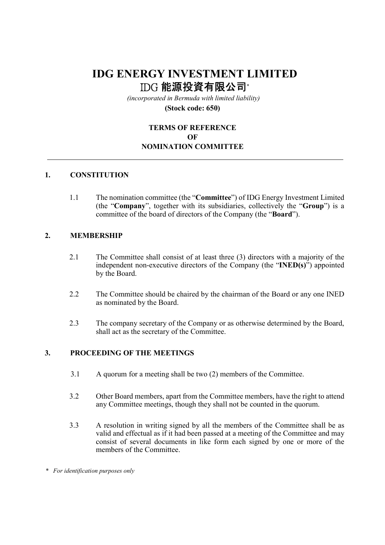# IDG ENERGY INVESTMENT LIMITED IDG 能源投資有限公司\*

 (incorporated in Bermuda with limited liability) (Stock code: 650)

## TERMS OF REFERENCE **OF** NOMINATION COMMITTEE

#### 1. CONSTITUTION

 1.1 The nomination committee (the "Committee") of IDG Energy Investment Limited (the "Company", together with its subsidiaries, collectively the "Group") is a committee of the board of directors of the Company (the "Board").

#### 2. MEMBERSHIP

- 2.1 The Committee shall consist of at least three (3) directors with a majority of the independent non-executive directors of the Company (the "INED(s)") appointed by the Board.
- 2.2 The Committee should be chaired by the chairman of the Board or any one INED as nominated by the Board.
- 2.3 The company secretary of the Company or as otherwise determined by the Board, shall act as the secretary of the Committee.

#### 3. PROCEEDING OF THE MEETINGS

- 3.1 A quorum for a meeting shall be two (2) members of the Committee.
- 3.2 Other Board members, apart from the Committee members, have the right to attend any Committee meetings, though they shall not be counted in the quorum.
- 3.3 A resolution in writing signed by all the members of the Committee shall be as valid and effectual as if it had been passed at a meeting of the Committee and may consist of several documents in like form each signed by one or more of the members of the Committee.

\* For identification purposes only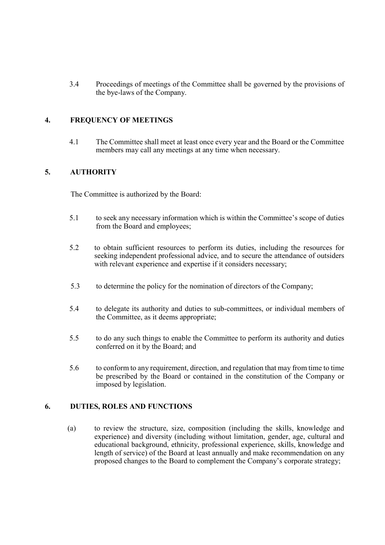3.4 Proceedings of meetings of the Committee shall be governed by the provisions of the bye-laws of the Company.

### 4. FREQUENCY OF MEETINGS

 4.1 The Committee shall meet at least once every year and the Board or the Committee members may call any meetings at any time when necessary.

#### 5. AUTHORITY

The Committee is authorized by the Board:

- 5.1 to seek any necessary information which is within the Committee's scope of duties from the Board and employees;
- 5.2 to obtain sufficient resources to perform its duties, including the resources for seeking independent professional advice, and to secure the attendance of outsiders with relevant experience and expertise if it considers necessary;
- 5.3 to determine the policy for the nomination of directors of the Company;
- 5.4 to delegate its authority and duties to sub-committees, or individual members of the Committee, as it deems appropriate;
- 5.5 to do any such things to enable the Committee to perform its authority and duties conferred on it by the Board; and
- 5.6 to conform to any requirement, direction, and regulation that may from time to time be prescribed by the Board or contained in the constitution of the Company or imposed by legislation.

#### 6. DUTIES, ROLES AND FUNCTIONS

(a) to review the structure, size, composition (including the skills, knowledge and experience) and diversity (including without limitation, gender, age, cultural and educational background, ethnicity, professional experience, skills, knowledge and length of service) of the Board at least annually and make recommendation on any proposed changes to the Board to complement the Company's corporate strategy;